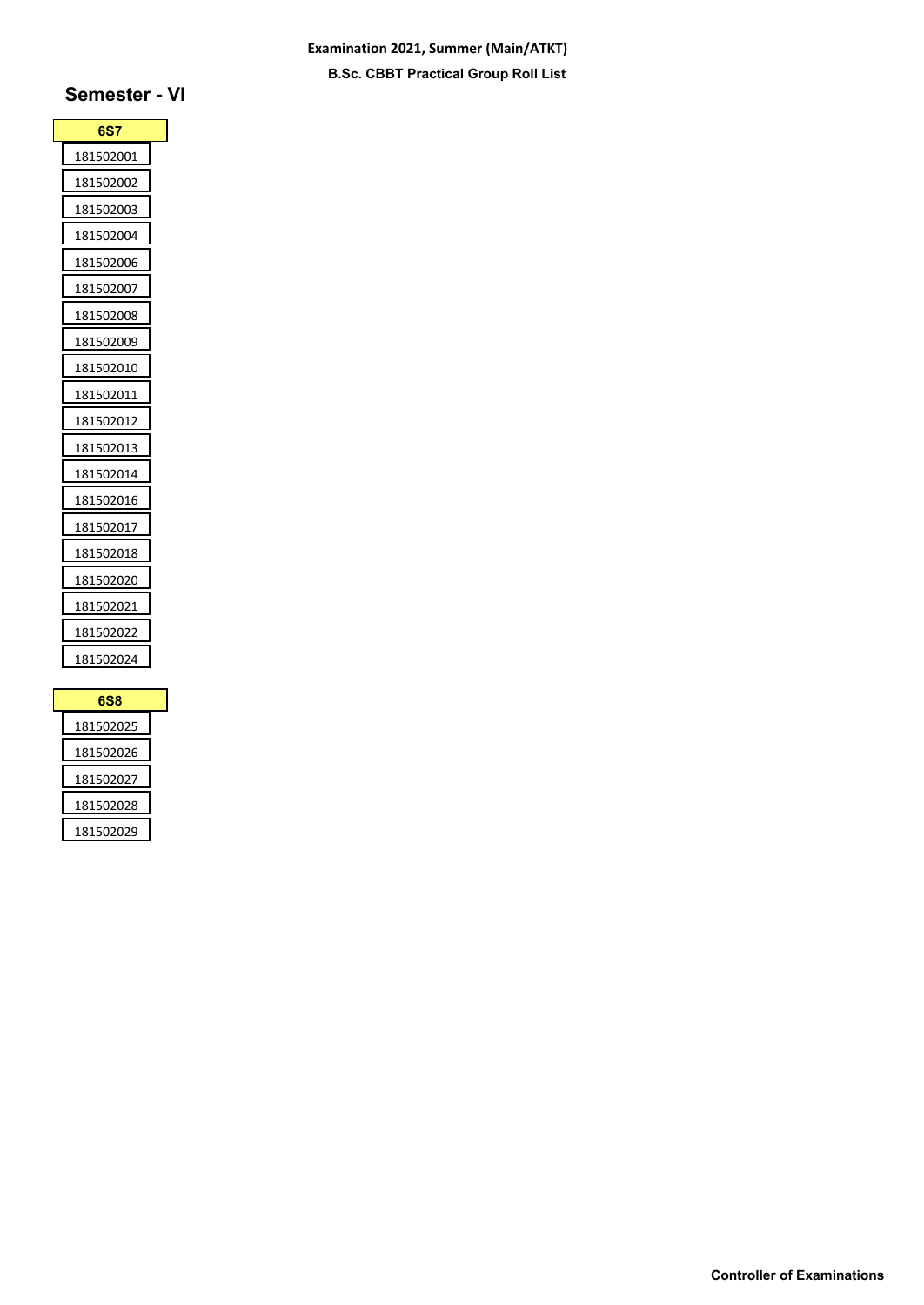### **Examination 2021, Summer (Main/ATKT) B.Sc. CBBT Practical Group Roll List**

# **Semester - VI**

| <b>6S7</b>        |  |
|-------------------|--|
| <u>181502001</u>  |  |
| 181502002         |  |
| 181502003         |  |
| 181502004         |  |
| 181502006         |  |
| 181502007         |  |
| 181502008         |  |
| 181502009         |  |
| 181502010         |  |
| 181502011         |  |
| 181502012         |  |
| <u>18150201</u> 3 |  |
| 181502014         |  |
| 181502016         |  |
| 181502017         |  |
| 181502018         |  |
| 181502020         |  |
| 181502021         |  |
| 181502022         |  |
| 181502024         |  |
|                   |  |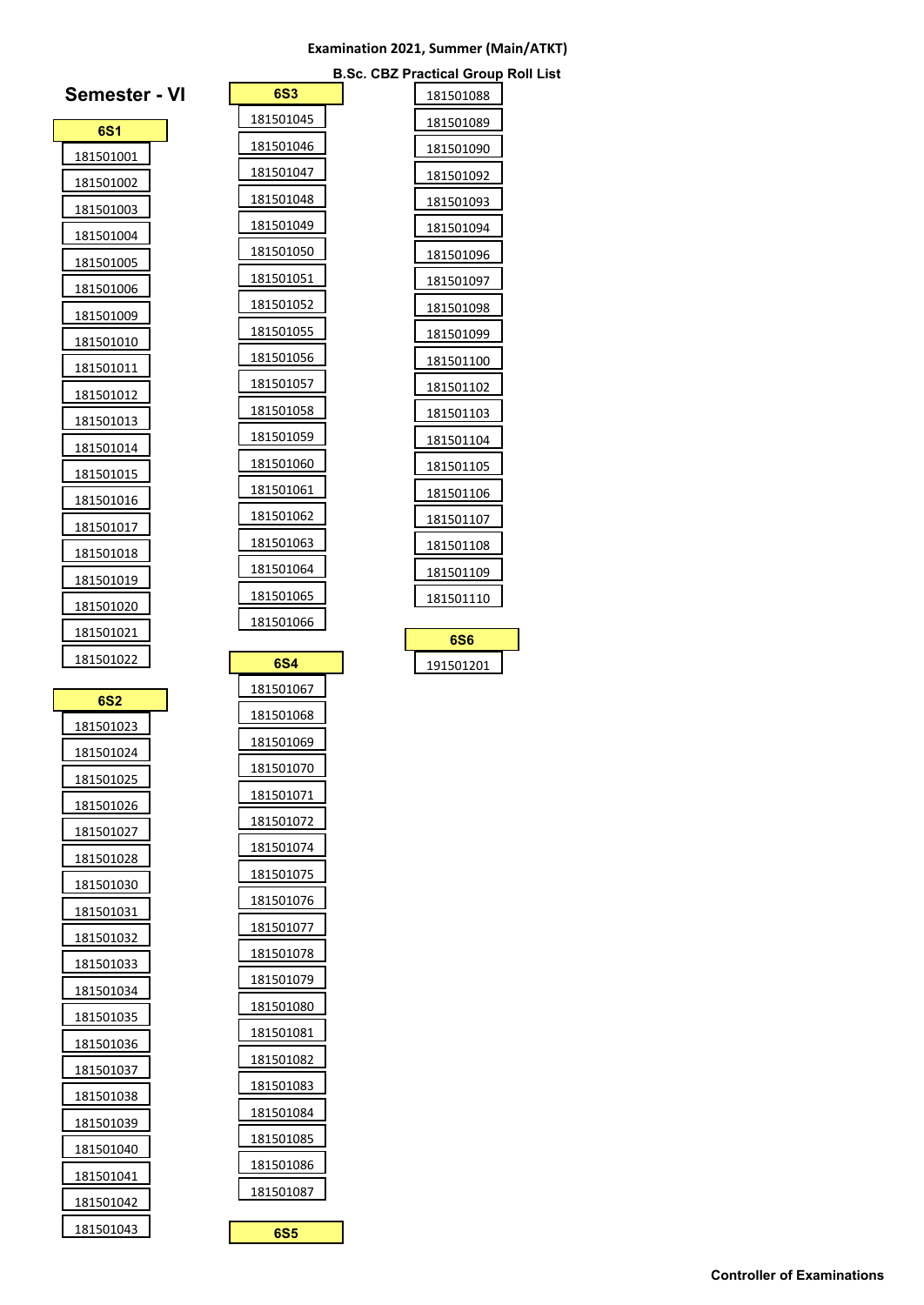#### **Examination 2021, Summer (Main/ATKT)**

**B.Sc. CBZ Practical Group Roll List**

 $|181501088|$ 

| 6S1                     |  |
|-------------------------|--|
| <u>181501001</u>        |  |
| 181501002               |  |
| 181501003               |  |
| 181501004               |  |
| 181501005               |  |
| 181501006               |  |
| 181501009               |  |
| 181501010               |  |
| 181501011               |  |
| 181501012               |  |
| 181501013               |  |
| 181501014               |  |
| 181501015               |  |
| 181501016               |  |
| 181501017               |  |
| <u>181501018</u>        |  |
| 181501019               |  |
| 181501020               |  |
| 181501021               |  |
| 181501022               |  |
|                         |  |
|                         |  |
| <b>6S2</b><br>181501023 |  |
| 181501024               |  |
| 181501025               |  |
| L81.<br>01026ذ          |  |
| 181501027               |  |
| 181501028               |  |
| 181501030               |  |
| 181501031               |  |
| 181501032               |  |
| 181501033               |  |
| 181501034               |  |
| 181501035               |  |
| 181501036               |  |
| 181501037               |  |
| 181501038               |  |
| 181501039               |  |
| <u>181501040</u>        |  |
| 181501041               |  |
| 181501042               |  |

**Semester - VI**

|                  | Sc. |  |
|------------------|-----|--|
| 6S3              |     |  |
| 181501045        |     |  |
| 181501046        |     |  |
| 181501047        |     |  |
| 181501048        |     |  |
| 181501049        |     |  |
| 181501050        |     |  |
| 181501051        |     |  |
| <u>181501052</u> |     |  |
| 181501055        |     |  |
| 181501056        |     |  |
| 181501057        |     |  |
| 181501058        |     |  |
| 181501059        |     |  |
| 181501060        |     |  |
| 181501061        |     |  |
| 181501062        |     |  |
| 181501063        |     |  |
| 181501064        |     |  |
| 181501065        |     |  |
| 181501066        |     |  |
| 6S4              |     |  |
| 181501067        |     |  |
| 181501068        |     |  |
| <u>181501069</u> |     |  |
| 51.<br>)UI       |     |  |
| 181501071        |     |  |
| 181501072        |     |  |
| 181501074        |     |  |
| 181501075        |     |  |

**6S5**

| 181501089         |
|-------------------|
| 181501090         |
| <u>181501</u> 092 |
| 181501093         |
| 181501094         |
| 181501096         |
| 181501097         |
| 181501098         |
| 181501099         |
| 181501100         |
| 181501102         |
| 181501103         |
| 181501104         |
| 181501105         |
| 181501106         |
| 181501107         |
| 181501108         |
| 181501109         |
| 181501110         |
|                   |

| с        |
|----------|
| 91501201 |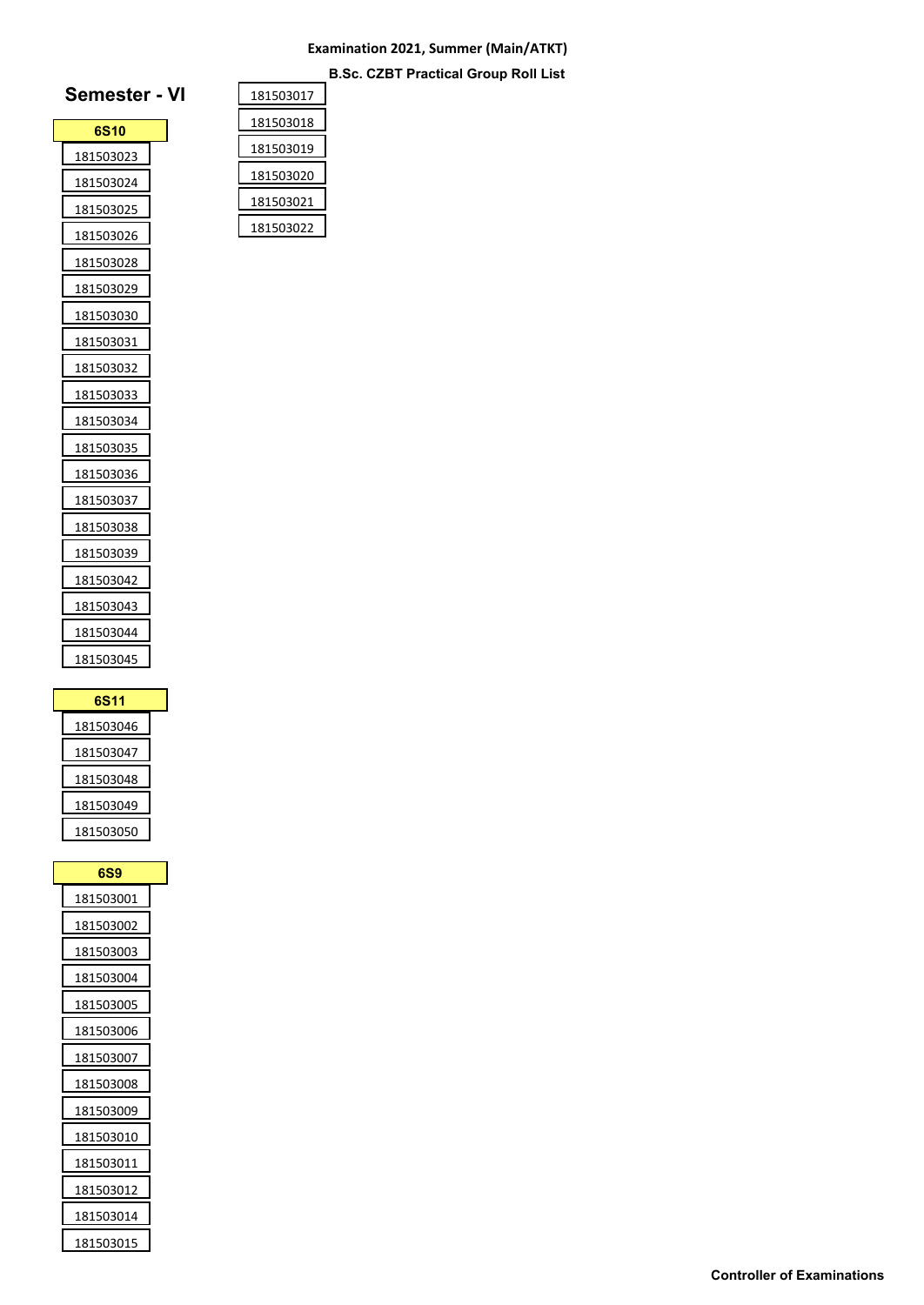### **Examination 2021, Summer (Main/ATKT) B.Sc. CZBT Practical Group Roll List**

| Semester - V      |  |
|-------------------|--|
| 6S <sub>10</sub>  |  |
| 181503023         |  |
| 181503024         |  |
| 181503025         |  |
| 181503026         |  |
| 181503028         |  |
| 181503029         |  |
| 181503030         |  |
| 181503031         |  |
| 181503032         |  |
| 181503033         |  |
| 181503034         |  |
| 181503035         |  |
| 181503036         |  |
| 181503037         |  |
| 181503038         |  |
| <u> 181503039</u> |  |
| 181503042         |  |
| 181503043         |  |
| 181503044         |  |
| 181503045         |  |

| 6S11      |  |
|-----------|--|
| 181503046 |  |
| 181503047 |  |
| 181503048 |  |
| 181503049 |  |
| 181503050 |  |

| 6S9              |
|------------------|
| <u>181503001</u> |
| <u>181503002</u> |
| <u>181503003</u> |
| <u>181503004</u> |
| <u>181503005</u> |
| 181503006        |
| 181503007        |
| <u>181503008</u> |
| <u>181503009</u> |
| <u>181503010</u> |
| 181503011        |
| <u>181503012</u> |
| <u>181503014</u> |
| 181503015        |

| 181503017 |  |
|-----------|--|
| 181503018 |  |
| 181503019 |  |
| 181503020 |  |
| 181503021 |  |
| 181503022 |  |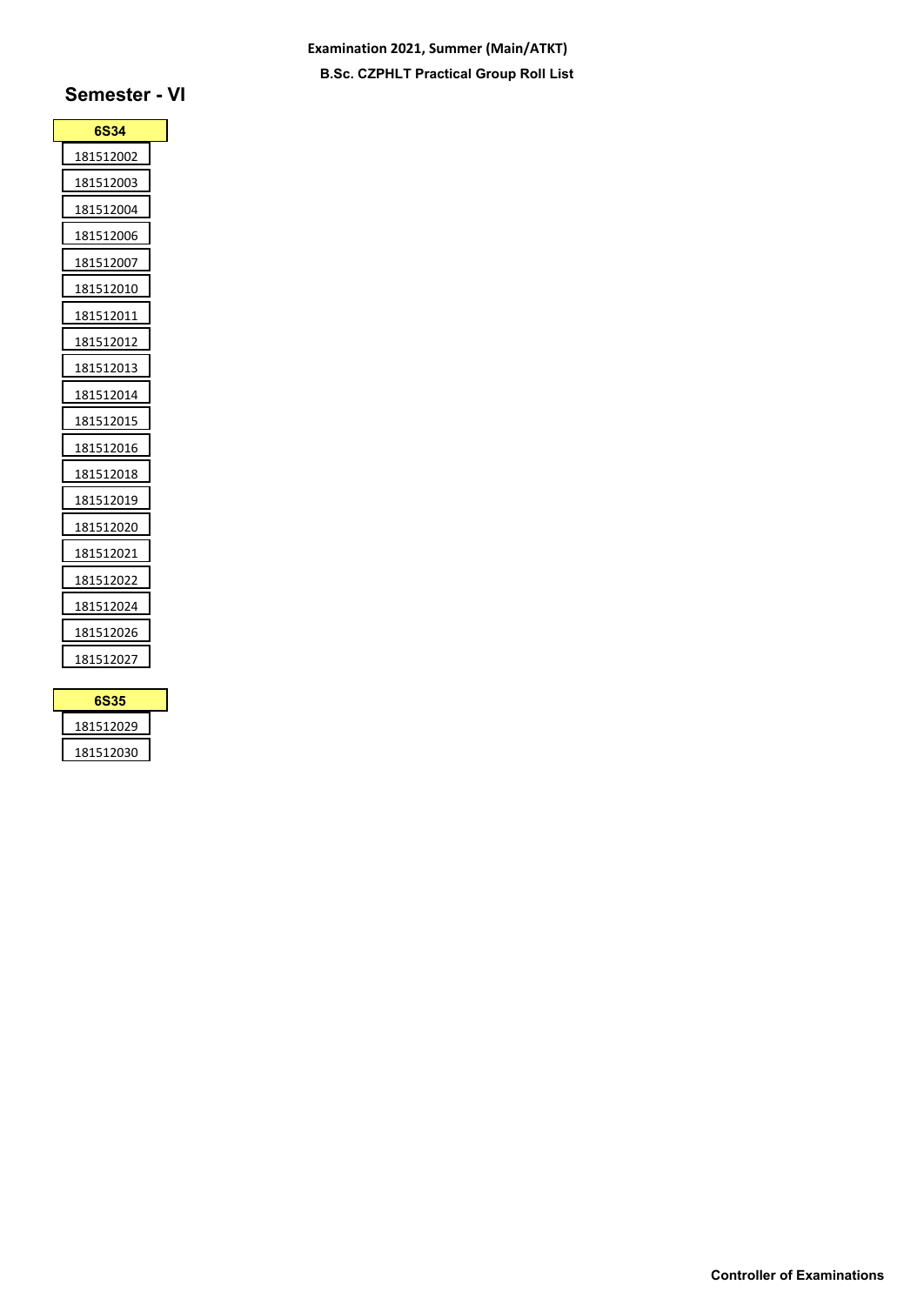### **Examination 2021, Summer (Main/ATKT) B.Sc. CZPHLT Practical Group Roll List**

# **Semester - VI**

| <u> 181512002</u><br>181512003 |
|--------------------------------|
|                                |
|                                |
| 181512004                      |
| 181512006                      |
| 181512007                      |
| 181512010                      |
| 181512011                      |
| 181512012                      |
| 181512013                      |
| 181512014                      |
| 181512015                      |
| 181512016                      |
| 181512018                      |
| 181512019                      |
| 181512020                      |
| 181512021                      |
| 181512022                      |
| 181512024                      |
| 181512026                      |
| 181512027                      |

| 6S35      |  |
|-----------|--|
| 181512029 |  |
| 181512030 |  |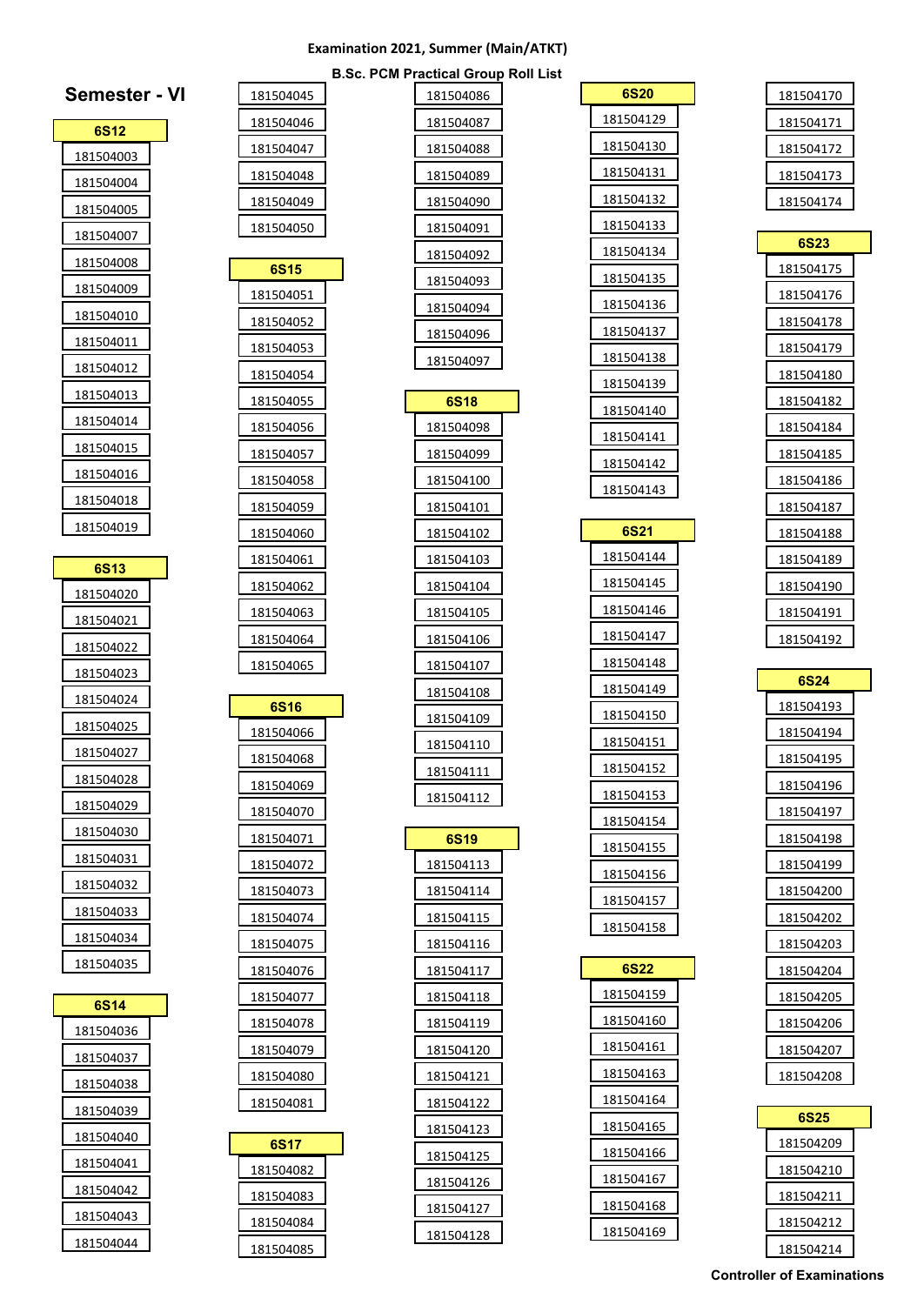### **Examination 2021, Summer (Main/ATKT)**

**B.Sc. PCM Practical Group Roll List**

| Semester - VI |  |
|---------------|--|
| <b>6S12</b>   |  |
| 181504003     |  |
| 181504004     |  |
| 181504005     |  |
| 181504007     |  |
| 181504008     |  |
| 181504009     |  |
| 181504010     |  |
| 181504011     |  |
| 181504012     |  |
| 181504013     |  |
| 181504014     |  |
| 181504015     |  |
| 181504016     |  |
| 181504018     |  |
| 181504019     |  |
| 6S13          |  |
| 181504020     |  |
| 181504021     |  |
| 181504022     |  |
| 181504023     |  |
| 181504024     |  |
| 181504025     |  |
| 181504027     |  |
| 181504028     |  |
| 181504029     |  |
| 181504030     |  |
| 181504031     |  |
| 181504032     |  |
| 181504033     |  |
| 181504034     |  |
| 181504035     |  |
| 6S14          |  |
| 181504036     |  |
| 181504037     |  |
| 181504038     |  |
| 181504039     |  |
| 181504040     |  |
| 181504041     |  |
| 181504042     |  |
| 181504043     |  |
| 181504044     |  |

| . PCM Practical Group Roll List |  |
|---------------------------------|--|
| <u>181504086</u>                |  |
| 181504087                       |  |
| 181504088                       |  |
| 181504089                       |  |
| 181504090                       |  |
| 181504091                       |  |
| 181504092                       |  |
| 181504093                       |  |
| 181504094                       |  |
| 181504096                       |  |
| 181504097                       |  |
| 6S18                            |  |
| 181504098                       |  |
| 181504099                       |  |
| 181504100                       |  |
| 181504101                       |  |
| 181504102                       |  |
| 181504103                       |  |
| 181504104                       |  |
| <u>181504105</u>                |  |
| 181504106                       |  |
| 181504107                       |  |
| 181504108                       |  |
| 181504109                       |  |
| 181504110                       |  |
| 181504111                       |  |
| 181504112                       |  |
| 6S19                            |  |
| 181504113                       |  |
| 181504114                       |  |
| 181504115                       |  |
| 181504116                       |  |
| 181504117                       |  |
| 181504118                       |  |
| 181504119                       |  |
| 181504120                       |  |
| 181504121                       |  |
| 181504122                       |  |
| 181504123                       |  |
| 181504125                       |  |
| 181504126                       |  |
| 181504127                       |  |
| 181504128                       |  |

| <b>6S20</b>            |  |
|------------------------|--|
| 181504129              |  |
| 181504130              |  |
| 181504131              |  |
| 181504132              |  |
| <u>181504133</u>       |  |
| 181504134              |  |
| 181504135              |  |
| <u>181504136</u>       |  |
| 181504137              |  |
| 181504138              |  |
| 181504139              |  |
| 181504140              |  |
| 181504141              |  |
| 181504142              |  |
| 181504143              |  |
|                        |  |
| 6S21                   |  |
| 181504144              |  |
| 181504145<br>181504146 |  |
| 181504147              |  |
| 181504148              |  |
| 181504149              |  |
| 181504150              |  |
| <u>181504151</u>       |  |
| 181504152              |  |
| 181504153              |  |
| 181504154              |  |
| 181504155              |  |
| 181504156              |  |
| 181504157              |  |
| 181504158              |  |
|                        |  |
| 6S22                   |  |
| 181504159              |  |
| 181504160              |  |
| 181504161              |  |
| 181504163              |  |
| 181504164              |  |
| 181504165              |  |
| 181504166              |  |
| 181504167              |  |
| 181504168              |  |
| 181504169              |  |

| 181504170 |
|-----------|
| 181504171 |
| 181504172 |
| 181504173 |
| 181504174 |

| <b>6S23</b>      |
|------------------|
| 181504175        |
| 181504176        |
| 181504178        |
| 181504179        |
| 181504180        |
| <u>181504182</u> |
| 181504184        |
| 181504185        |
| <u>181504186</u> |
| 181504187        |
| 181504188        |
| 181504189        |
| 181504190        |
| 181504191        |
| 181504192        |
|                  |

**6S24** 

| 6S25      |  |
|-----------|--|
| 181504209 |  |
| 181504210 |  |
| 181504211 |  |
| 181504212 |  |
| 181504214 |  |

**Controller of Examinations**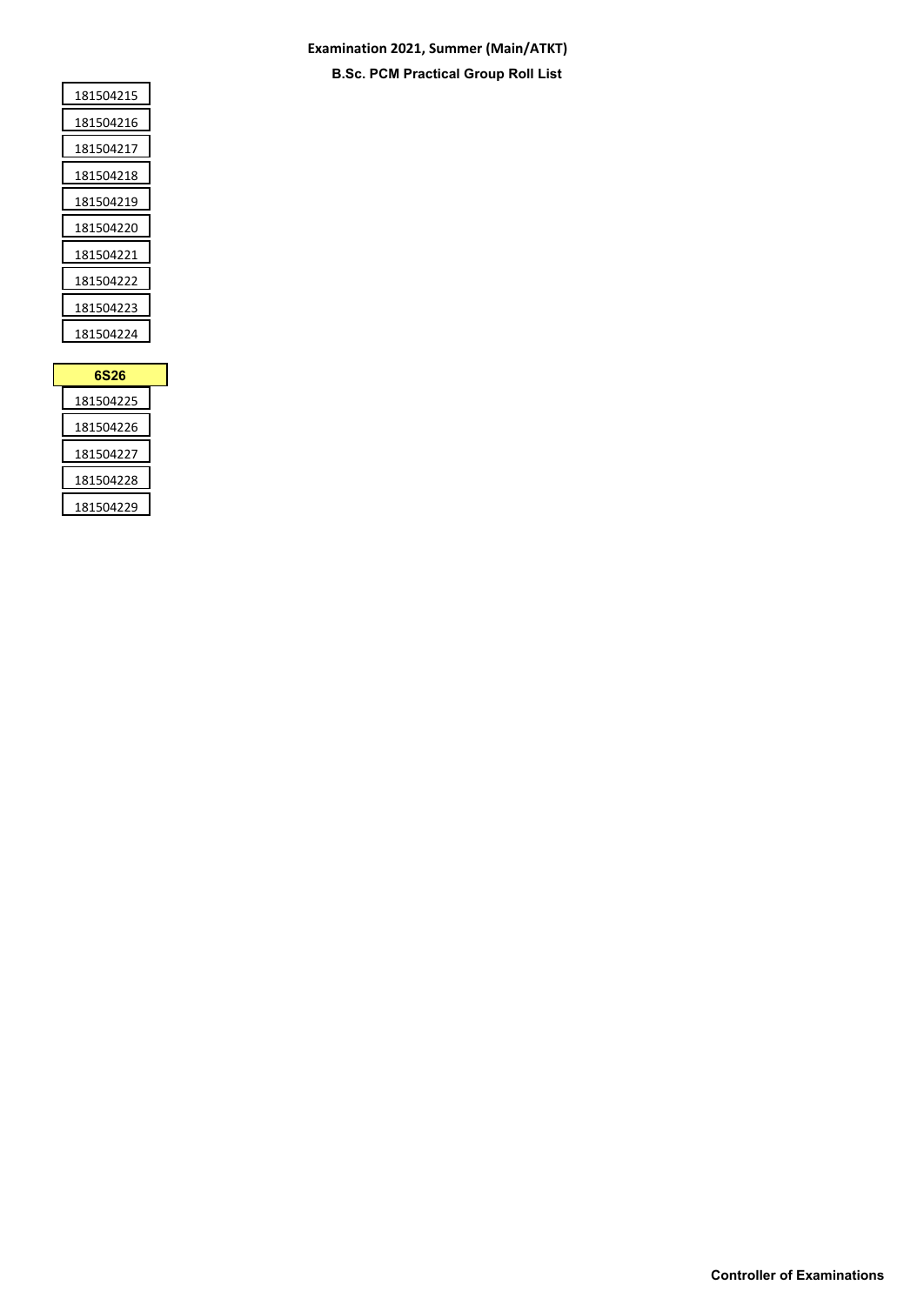### **Examination 2021, Summer (Main/ATKT) B.Sc. PCM Practical Group Roll List**

| 181504215 |
|-----------|
| 181504216 |
| 181504217 |
| 181504218 |
| 181504219 |
| 181504220 |
| 181504221 |
| 181504222 |
| 181504223 |
| 181504224 |
|           |

| 6S26      |  |
|-----------|--|
| 181504225 |  |
| 181504226 |  |
| 181504227 |  |
| 181504228 |  |
| 181504229 |  |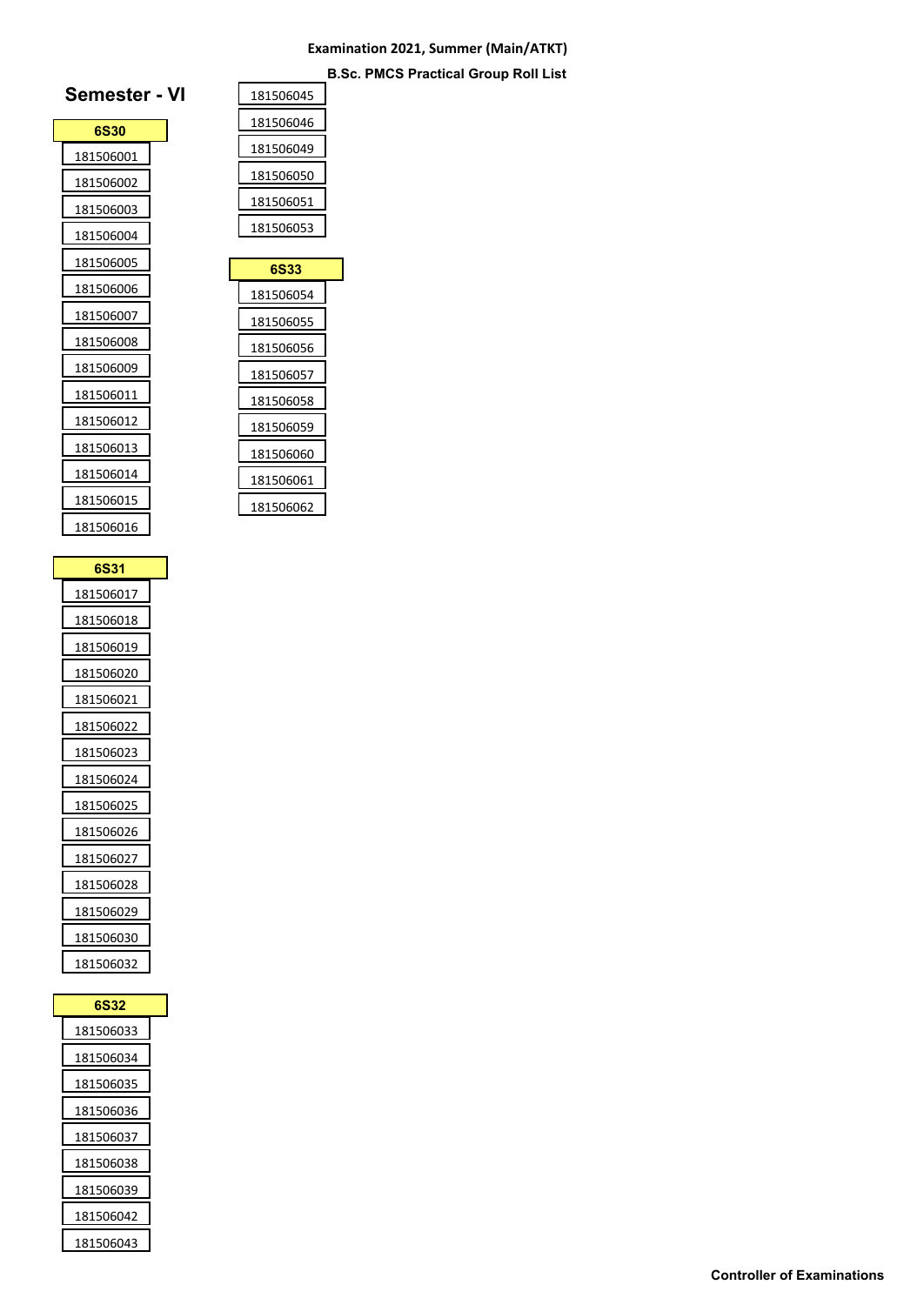### **Examination 2021, Summer (Main/ATKT) B.Sc. PMCS Practical Group Roll List**

## **Semester - VI**

| 6S30      |  |
|-----------|--|
| 181506001 |  |
| 181506002 |  |
| 181506003 |  |
| 181506004 |  |
| 181506005 |  |
| 181506006 |  |
| 181506007 |  |
| 181506008 |  |
| 181506009 |  |
| 181506011 |  |
| 181506012 |  |
| 181506013 |  |
| 181506014 |  |
| 181506015 |  |
| 181506016 |  |
|           |  |

| 6S31      |  |
|-----------|--|
| 181506017 |  |
| 181506018 |  |
| 181506019 |  |
| 181506020 |  |
| 181506021 |  |
| 181506022 |  |
| 181506023 |  |
| 181506024 |  |
| 181506025 |  |
| 181506026 |  |
| 181506027 |  |
| 181506028 |  |
| 181506029 |  |
| 181506030 |  |
| 181506032 |  |

| 6S32      |  |
|-----------|--|
| 181506033 |  |
| 181506034 |  |
| 181506035 |  |
| 181506036 |  |
| 181506037 |  |
| 181506038 |  |
| 181506039 |  |
| 181506042 |  |
| 181506043 |  |

| 181506045 |
|-----------|
| 181506046 |
| 181506049 |
| 181506050 |
| 181506051 |
| 181506053 |
|           |

| 6S33      |  |
|-----------|--|
| 181506054 |  |
| 181506055 |  |
| 181506056 |  |
| 181506057 |  |
| 181506058 |  |
| 181506059 |  |
| 181506060 |  |
| 181506061 |  |
| 181506062 |  |